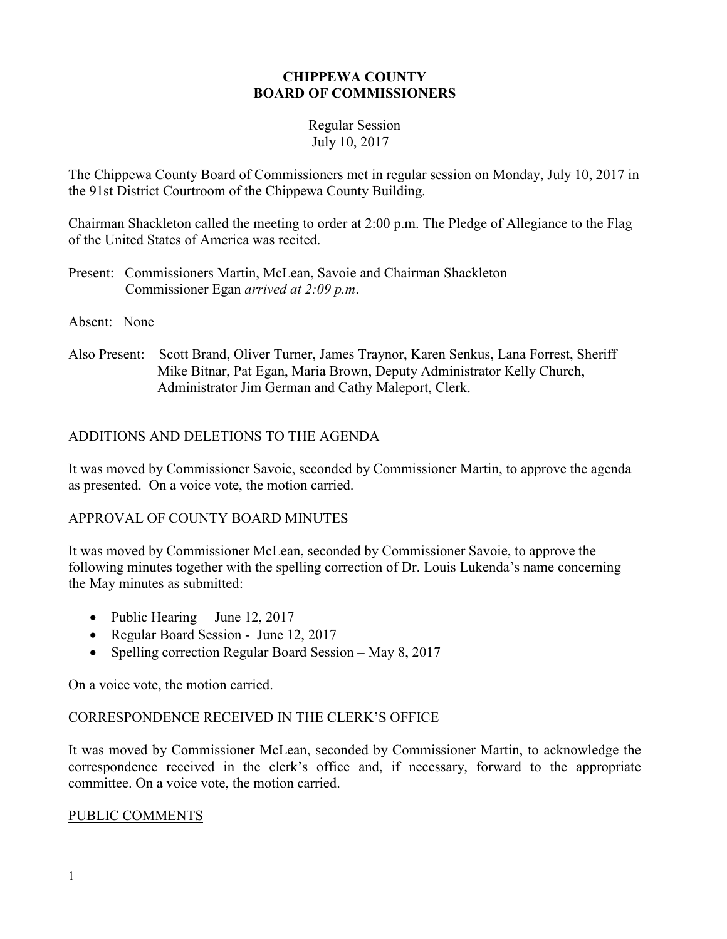#### **CHIPPEWA COUNTY BOARD OF COMMISSIONERS**

#### Regular Session July 10, 2017

The Chippewa County Board of Commissioners met in regular session on Monday, July 10, 2017 in the 91st District Courtroom of the Chippewa County Building.

Chairman Shackleton called the meeting to order at 2:00 p.m. The Pledge of Allegiance to the Flag of the United States of America was recited.

- Present: Commissioners Martin, McLean, Savoie and Chairman Shackleton Commissioner Egan *arrived at 2:09 p.m*.
- Absent: None
- Also Present: Scott Brand, Oliver Turner, James Traynor, Karen Senkus, Lana Forrest, Sheriff Mike Bitnar, Pat Egan, Maria Brown, Deputy Administrator Kelly Church, Administrator Jim German and Cathy Maleport, Clerk.

## ADDITIONS AND DELETIONS TO THE AGENDA

It was moved by Commissioner Savoie, seconded by Commissioner Martin, to approve the agenda as presented. On a voice vote, the motion carried.

## APPROVAL OF COUNTY BOARD MINUTES

It was moved by Commissioner McLean, seconded by Commissioner Savoie, to approve the following minutes together with the spelling correction of Dr. Louis Lukenda's name concerning the May minutes as submitted:

- Public Hearing June 12, 2017
- Regular Board Session June 12, 2017
- Spelling correction Regular Board Session May 8, 2017

On a voice vote, the motion carried.

## CORRESPONDENCE RECEIVED IN THE CLERK'S OFFICE

It was moved by Commissioner McLean, seconded by Commissioner Martin, to acknowledge the correspondence received in the clerk's office and, if necessary, forward to the appropriate committee. On a voice vote, the motion carried.

#### PUBLIC COMMENTS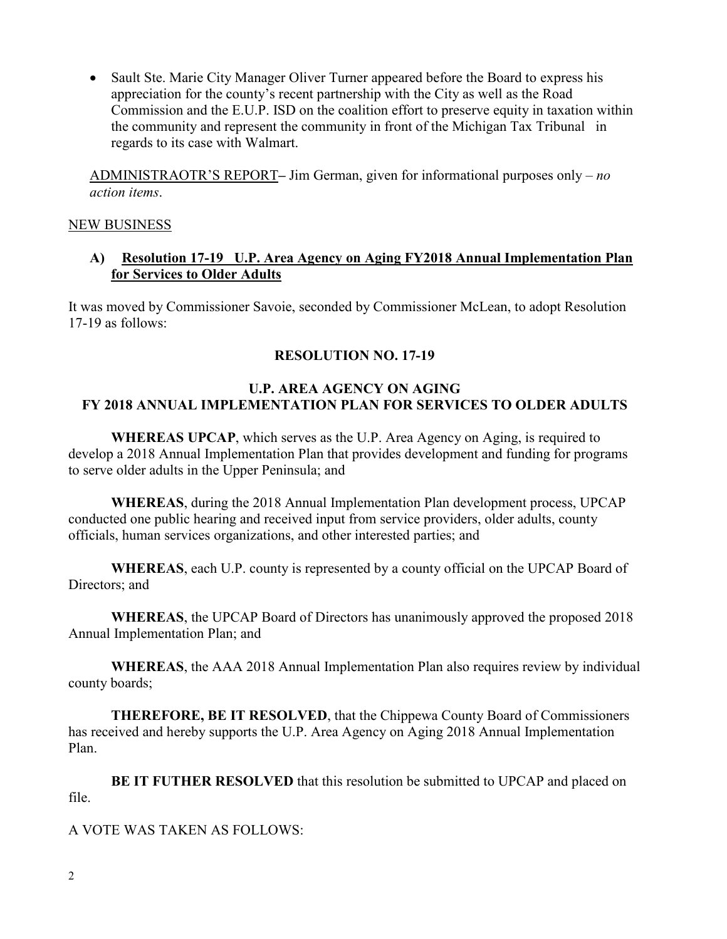• Sault Ste. Marie City Manager Oliver Turner appeared before the Board to express his appreciation for the county's recent partnership with the City as well as the Road Commission and the E.U.P. ISD on the coalition effort to preserve equity in taxation within the community and represent the community in front of the Michigan Tax Tribunal in regards to its case with Walmart.

ADMINISTRAOTR'S REPORT**–** Jim German, given for informational purposes only – *no action items*.

#### NEW BUSINESS

#### **A) Resolution 17-19 U.P. Area Agency on Aging FY2018 Annual Implementation Plan for Services to Older Adults**

It was moved by Commissioner Savoie, seconded by Commissioner McLean, to adopt Resolution 17-19 as follows:

## **RESOLUTION NO. 17-19**

## **U.P. AREA AGENCY ON AGING FY 2018 ANNUAL IMPLEMENTATION PLAN FOR SERVICES TO OLDER ADULTS**

 **WHEREAS UPCAP**, which serves as the U.P. Area Agency on Aging, is required to develop a 2018 Annual Implementation Plan that provides development and funding for programs to serve older adults in the Upper Peninsula; and

 **WHEREAS**, during the 2018 Annual Implementation Plan development process, UPCAP conducted one public hearing and received input from service providers, older adults, county officials, human services organizations, and other interested parties; and

**WHEREAS**, each U.P. county is represented by a county official on the UPCAP Board of Directors; and

**WHEREAS**, the UPCAP Board of Directors has unanimously approved the proposed 2018 Annual Implementation Plan; and

**WHEREAS**, the AAA 2018 Annual Implementation Plan also requires review by individual county boards;

**THEREFORE, BE IT RESOLVED**, that the Chippewa County Board of Commissioners has received and hereby supports the U.P. Area Agency on Aging 2018 Annual Implementation Plan.

**BE IT FUTHER RESOLVED** that this resolution be submitted to UPCAP and placed on file.

## A VOTE WAS TAKEN AS FOLLOWS: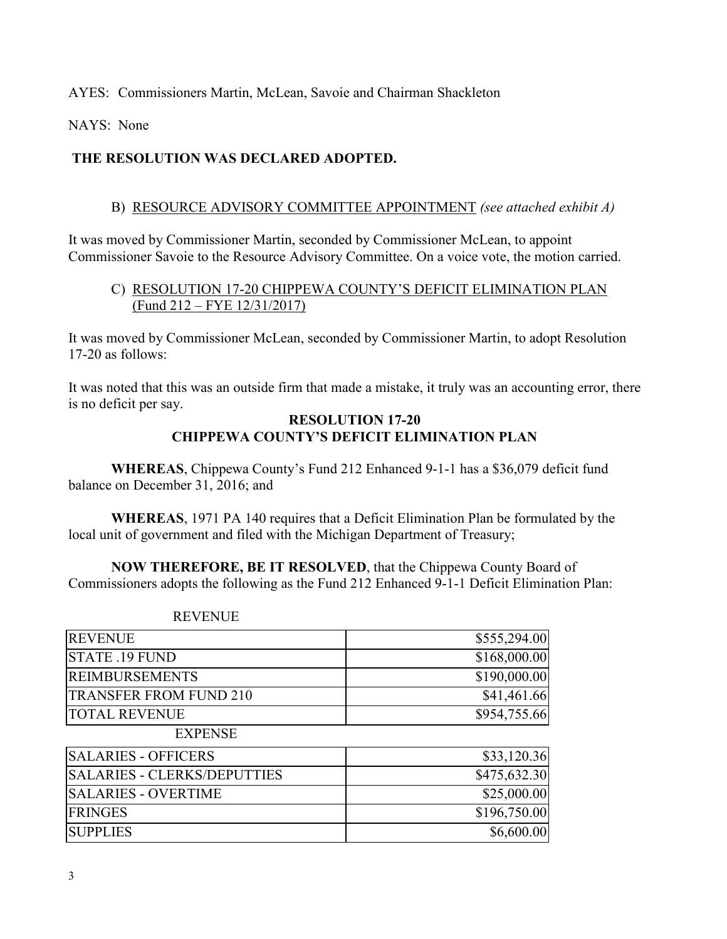AYES: Commissioners Martin, McLean, Savoie and Chairman Shackleton

NAYS: None

## **THE RESOLUTION WAS DECLARED ADOPTED.**

#### B) RESOURCE ADVISORY COMMITTEE APPOINTMENT *(see attached exhibit A)*

It was moved by Commissioner Martin, seconded by Commissioner McLean, to appoint Commissioner Savoie to the Resource Advisory Committee. On a voice vote, the motion carried.

### C) RESOLUTION 17-20 CHIPPEWA COUNTY'S DEFICIT ELIMINATION PLAN (Fund 212 – FYE 12/31/2017)

It was moved by Commissioner McLean, seconded by Commissioner Martin, to adopt Resolution 17-20 as follows:

It was noted that this was an outside firm that made a mistake, it truly was an accounting error, there is no deficit per say.

#### **RESOLUTION 17-20 CHIPPEWA COUNTY'S DEFICIT ELIMINATION PLAN**

**WHEREAS**, Chippewa County's Fund 212 Enhanced 9-1-1 has a \$36,079 deficit fund balance on December 31, 2016; and

**WHEREAS**, 1971 PA 140 requires that a Deficit Elimination Plan be formulated by the local unit of government and filed with the Michigan Department of Treasury;

**NOW THEREFORE, BE IT RESOLVED**, that the Chippewa County Board of Commissioners adopts the following as the Fund 212 Enhanced 9-1-1 Deficit Elimination Plan:

| <b>REVENUE</b>                     | \$555,294.00 |
|------------------------------------|--------------|
| STATE .19 FUND                     | \$168,000.00 |
| <b>REIMBURSEMENTS</b>              | \$190,000.00 |
| <b>TRANSFER FROM FUND 210</b>      | \$41,461.66  |
| <b>TOTAL REVENUE</b>               | \$954,755.66 |
| <b>EXPENSE</b>                     |              |
| <b>SALARIES - OFFICERS</b>         | \$33,120.36  |
| <b>SALARIES - CLERKS/DEPUTTIES</b> | \$475,632.30 |
| <b>SALARIES - OVERTIME</b>         | \$25,000.00  |
| <b>FRINGES</b>                     | \$196,750.00 |
| <b>SUPPLIES</b>                    | \$6,600.00   |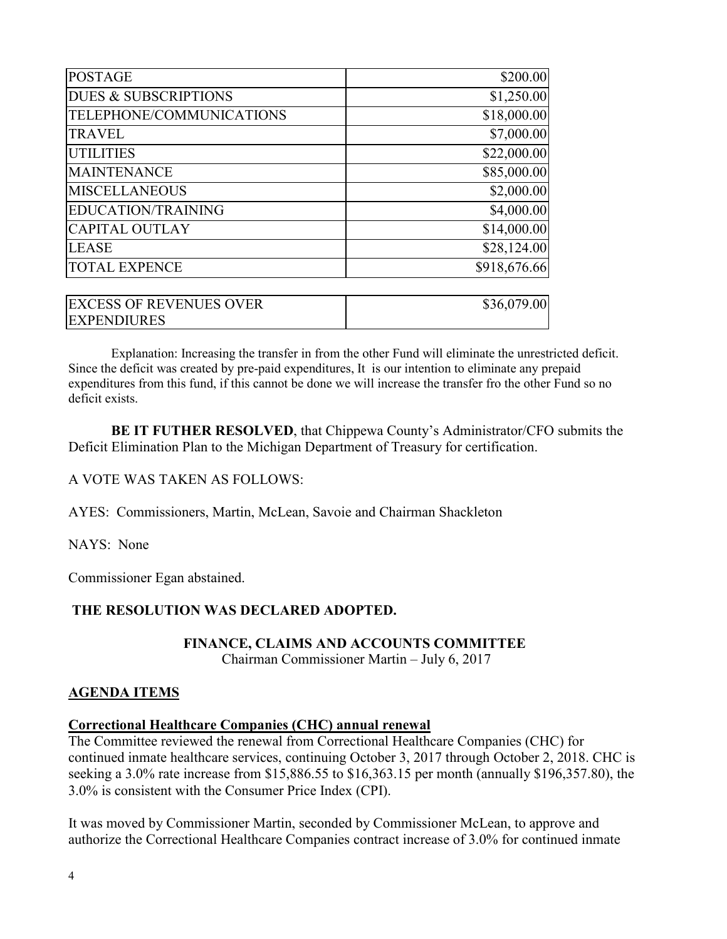| <b>POSTAGE</b>                  | \$200.00]    |
|---------------------------------|--------------|
| <b>DUES &amp; SUBSCRIPTIONS</b> | \$1,250.00   |
| TELEPHONE/COMMUNICATIONS        | \$18,000.00  |
| <b>TRAVEL</b>                   | \$7,000.00   |
| <b>UTILITIES</b>                | \$22,000.00  |
| <b>MAINTENANCE</b>              | \$85,000.00  |
| <b>MISCELLANEOUS</b>            | \$2,000.00]  |
| <b>EDUCATION/TRAINING</b>       | \$4,000.00   |
| <b>CAPITAL OUTLAY</b>           | \$14,000.00  |
| <b>LEASE</b>                    | \$28,124.00  |
| <b>TOTAL EXPENCE</b>            | \$918,676.66 |
|                                 |              |
| <b>EXCESS OF REVENUES OVER</b>  | \$36,079.00  |
| <b>EXPENDIURES</b>              |              |

Explanation: Increasing the transfer in from the other Fund will eliminate the unrestricted deficit. Since the deficit was created by pre-paid expenditures, It is our intention to eliminate any prepaid expenditures from this fund, if this cannot be done we will increase the transfer fro the other Fund so no deficit exists.

 **BE IT FUTHER RESOLVED**, that Chippewa County's Administrator/CFO submits the Deficit Elimination Plan to the Michigan Department of Treasury for certification.

#### A VOTE WAS TAKEN AS FOLLOWS:

AYES: Commissioners, Martin, McLean, Savoie and Chairman Shackleton

NAYS: None

Commissioner Egan abstained.

#### **THE RESOLUTION WAS DECLARED ADOPTED.**

#### **FINANCE, CLAIMS AND ACCOUNTS COMMITTEE**

Chairman Commissioner Martin – July 6, 2017

#### **AGENDA ITEMS**

#### **Correctional Healthcare Companies (CHC) annual renewal**

The Committee reviewed the renewal from Correctional Healthcare Companies (CHC) for continued inmate healthcare services, continuing October 3, 2017 through October 2, 2018. CHC is seeking a 3.0% rate increase from \$15,886.55 to \$16,363.15 per month (annually \$196,357.80), the 3.0% is consistent with the Consumer Price Index (CPI).

It was moved by Commissioner Martin, seconded by Commissioner McLean, to approve and authorize the Correctional Healthcare Companies contract increase of 3.0% for continued inmate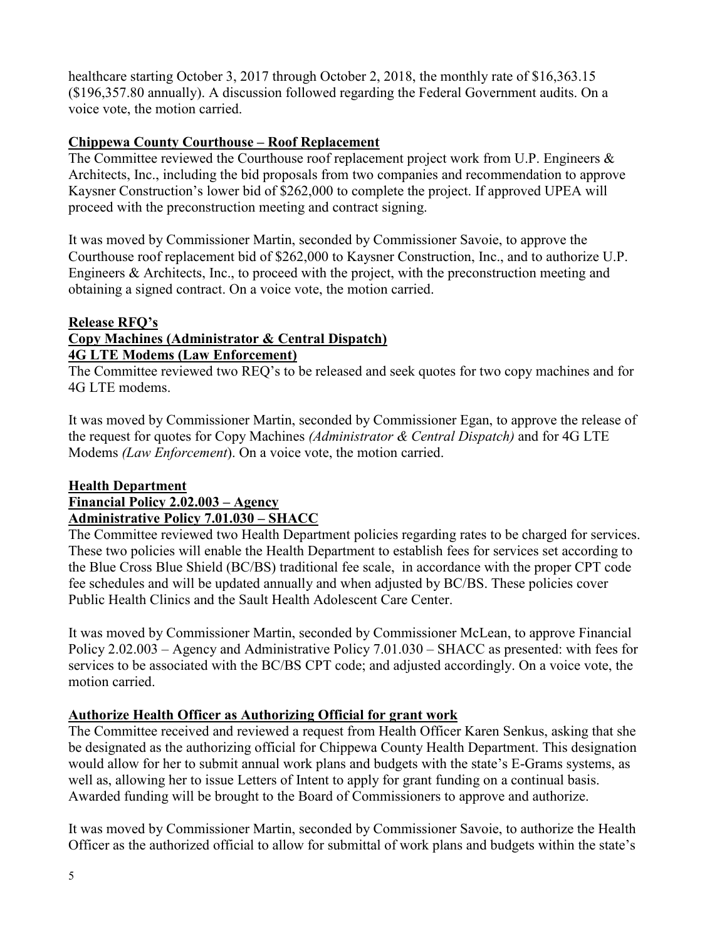healthcare starting October 3, 2017 through October 2, 2018, the monthly rate of \$16,363.15 (\$196,357.80 annually). A discussion followed regarding the Federal Government audits. On a voice vote, the motion carried.

## **Chippewa County Courthouse – Roof Replacement**

The Committee reviewed the Courthouse roof replacement project work from U.P. Engineers  $\&$ Architects, Inc., including the bid proposals from two companies and recommendation to approve Kaysner Construction's lower bid of \$262,000 to complete the project. If approved UPEA will proceed with the preconstruction meeting and contract signing.

It was moved by Commissioner Martin, seconded by Commissioner Savoie, to approve the Courthouse roof replacement bid of \$262,000 to Kaysner Construction, Inc., and to authorize U.P. Engineers & Architects, Inc., to proceed with the project, with the preconstruction meeting and obtaining a signed contract. On a voice vote, the motion carried.

## **Release RFQ's**

# **Copy Machines (Administrator & Central Dispatch)**

**4G LTE Modems (Law Enforcement)** 

The Committee reviewed two REQ's to be released and seek quotes for two copy machines and for 4G LTE modems.

It was moved by Commissioner Martin, seconded by Commissioner Egan, to approve the release of the request for quotes for Copy Machines *(Administrator & Central Dispatch)* and for 4G LTE Modems *(Law Enforcement*). On a voice vote, the motion carried.

#### **Health Department Financial Policy 2.02.003 – Agency Administrative Policy 7.01.030 – SHACC**

The Committee reviewed two Health Department policies regarding rates to be charged for services. These two policies will enable the Health Department to establish fees for services set according to the Blue Cross Blue Shield (BC/BS) traditional fee scale, in accordance with the proper CPT code fee schedules and will be updated annually and when adjusted by BC/BS. These policies cover Public Health Clinics and the Sault Health Adolescent Care Center.

It was moved by Commissioner Martin, seconded by Commissioner McLean, to approve Financial Policy 2.02.003 – Agency and Administrative Policy 7.01.030 – SHACC as presented: with fees for services to be associated with the BC/BS CPT code; and adjusted accordingly. On a voice vote, the motion carried.

## **Authorize Health Officer as Authorizing Official for grant work**

The Committee received and reviewed a request from Health Officer Karen Senkus, asking that she be designated as the authorizing official for Chippewa County Health Department. This designation would allow for her to submit annual work plans and budgets with the state's E-Grams systems, as well as, allowing her to issue Letters of Intent to apply for grant funding on a continual basis. Awarded funding will be brought to the Board of Commissioners to approve and authorize.

It was moved by Commissioner Martin, seconded by Commissioner Savoie, to authorize the Health Officer as the authorized official to allow for submittal of work plans and budgets within the state's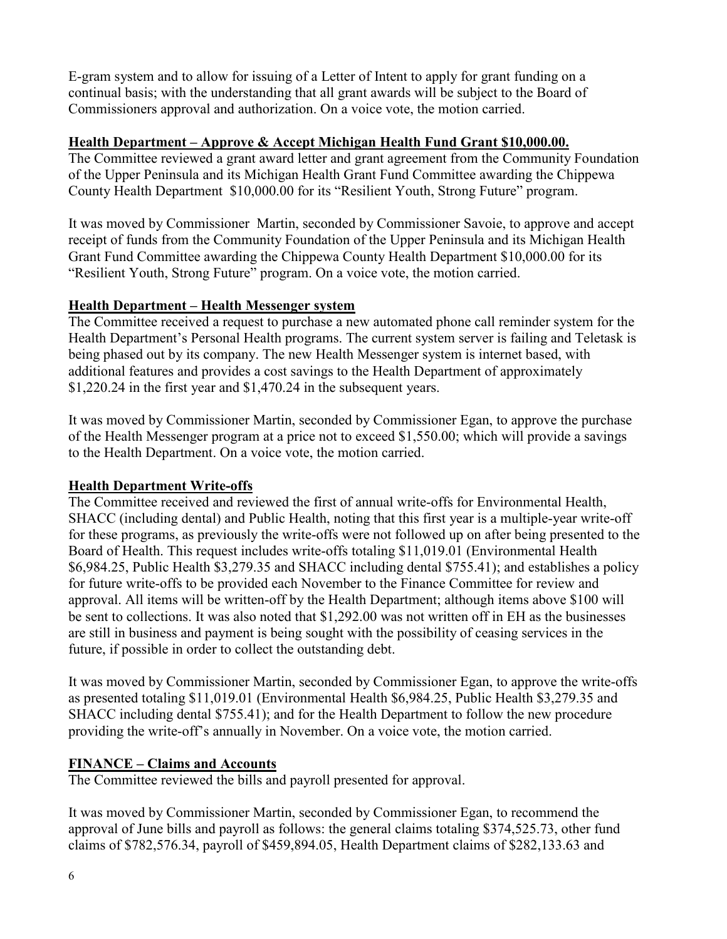E-gram system and to allow for issuing of a Letter of Intent to apply for grant funding on a continual basis; with the understanding that all grant awards will be subject to the Board of Commissioners approval and authorization. On a voice vote, the motion carried.

## **Health Department – Approve & Accept Michigan Health Fund Grant \$10,000.00.**

The Committee reviewed a grant award letter and grant agreement from the Community Foundation of the Upper Peninsula and its Michigan Health Grant Fund Committee awarding the Chippewa County Health Department \$10,000.00 for its "Resilient Youth, Strong Future" program.

It was moved by Commissioner Martin, seconded by Commissioner Savoie, to approve and accept receipt of funds from the Community Foundation of the Upper Peninsula and its Michigan Health Grant Fund Committee awarding the Chippewa County Health Department \$10,000.00 for its "Resilient Youth, Strong Future" program. On a voice vote, the motion carried.

# **Health Department – Health Messenger system**

The Committee received a request to purchase a new automated phone call reminder system for the Health Department's Personal Health programs. The current system server is failing and Teletask is being phased out by its company. The new Health Messenger system is internet based, with additional features and provides a cost savings to the Health Department of approximately \$1,220.24 in the first year and \$1,470.24 in the subsequent years.

It was moved by Commissioner Martin, seconded by Commissioner Egan, to approve the purchase of the Health Messenger program at a price not to exceed \$1,550.00; which will provide a savings to the Health Department. On a voice vote, the motion carried.

# **Health Department Write-offs**

The Committee received and reviewed the first of annual write-offs for Environmental Health, SHACC (including dental) and Public Health, noting that this first year is a multiple-year write-off for these programs, as previously the write-offs were not followed up on after being presented to the Board of Health. This request includes write-offs totaling \$11,019.01 (Environmental Health \$6,984.25, Public Health \$3,279.35 and SHACC including dental \$755.41); and establishes a policy for future write-offs to be provided each November to the Finance Committee for review and approval. All items will be written-off by the Health Department; although items above \$100 will be sent to collections. It was also noted that \$1,292.00 was not written off in EH as the businesses are still in business and payment is being sought with the possibility of ceasing services in the future, if possible in order to collect the outstanding debt.

It was moved by Commissioner Martin, seconded by Commissioner Egan, to approve the write-offs as presented totaling \$11,019.01 (Environmental Health \$6,984.25, Public Health \$3,279.35 and SHACC including dental \$755.41); and for the Health Department to follow the new procedure providing the write-off's annually in November. On a voice vote, the motion carried.

# **FINANCE – Claims and Accounts**

The Committee reviewed the bills and payroll presented for approval.

It was moved by Commissioner Martin, seconded by Commissioner Egan, to recommend the approval of June bills and payroll as follows: the general claims totaling \$374,525.73, other fund claims of \$782,576.34, payroll of \$459,894.05, Health Department claims of \$282,133.63 and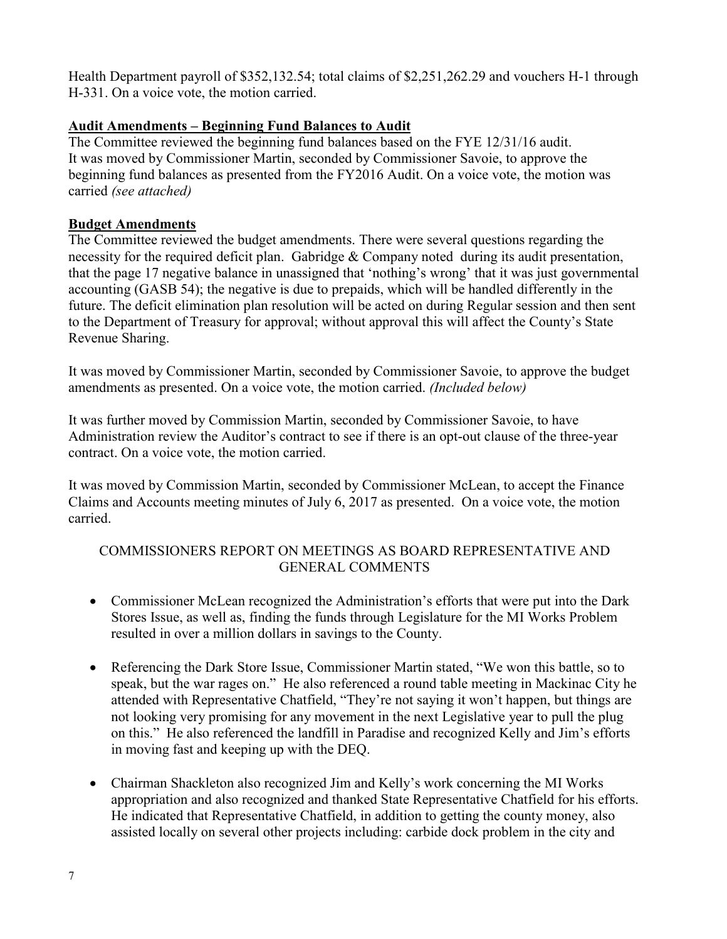Health Department payroll of \$352,132.54; total claims of \$2,251,262.29 and vouchers H-1 through H-331. On a voice vote, the motion carried.

## **Audit Amendments – Beginning Fund Balances to Audit**

The Committee reviewed the beginning fund balances based on the FYE 12/31/16 audit. It was moved by Commissioner Martin, seconded by Commissioner Savoie, to approve the beginning fund balances as presented from the FY2016 Audit. On a voice vote, the motion was carried *(see attached)*

## **Budget Amendments**

The Committee reviewed the budget amendments. There were several questions regarding the necessity for the required deficit plan. Gabridge & Company noted during its audit presentation, that the page 17 negative balance in unassigned that 'nothing's wrong' that it was just governmental accounting (GASB 54); the negative is due to prepaids, which will be handled differently in the future. The deficit elimination plan resolution will be acted on during Regular session and then sent to the Department of Treasury for approval; without approval this will affect the County's State Revenue Sharing.

It was moved by Commissioner Martin, seconded by Commissioner Savoie, to approve the budget amendments as presented. On a voice vote, the motion carried. *(Included below)*

It was further moved by Commission Martin, seconded by Commissioner Savoie, to have Administration review the Auditor's contract to see if there is an opt-out clause of the three-year contract. On a voice vote, the motion carried.

It was moved by Commission Martin, seconded by Commissioner McLean, to accept the Finance Claims and Accounts meeting minutes of July 6, 2017 as presented. On a voice vote, the motion carried.

## COMMISSIONERS REPORT ON MEETINGS AS BOARD REPRESENTATIVE AND GENERAL COMMENTS

- Commissioner McLean recognized the Administration's efforts that were put into the Dark Stores Issue, as well as, finding the funds through Legislature for the MI Works Problem resulted in over a million dollars in savings to the County.
- Referencing the Dark Store Issue, Commissioner Martin stated, "We won this battle, so to speak, but the war rages on." He also referenced a round table meeting in Mackinac City he attended with Representative Chatfield, "They're not saying it won't happen, but things are not looking very promising for any movement in the next Legislative year to pull the plug on this." He also referenced the landfill in Paradise and recognized Kelly and Jim's efforts in moving fast and keeping up with the DEQ.
- Chairman Shackleton also recognized Jim and Kelly's work concerning the MI Works appropriation and also recognized and thanked State Representative Chatfield for his efforts. He indicated that Representative Chatfield, in addition to getting the county money, also assisted locally on several other projects including: carbide dock problem in the city and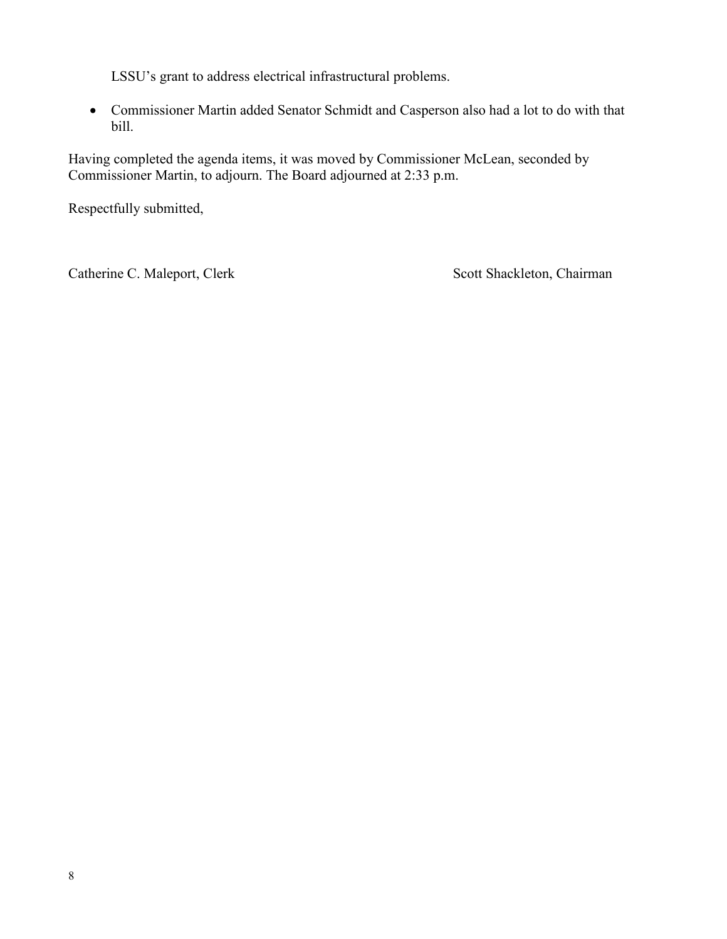LSSU's grant to address electrical infrastructural problems.

• Commissioner Martin added Senator Schmidt and Casperson also had a lot to do with that bill.

Having completed the agenda items, it was moved by Commissioner McLean, seconded by Commissioner Martin, to adjourn. The Board adjourned at 2:33 p.m.

Respectfully submitted,

Catherine C. Maleport, Clerk Scott Shackleton, Chairman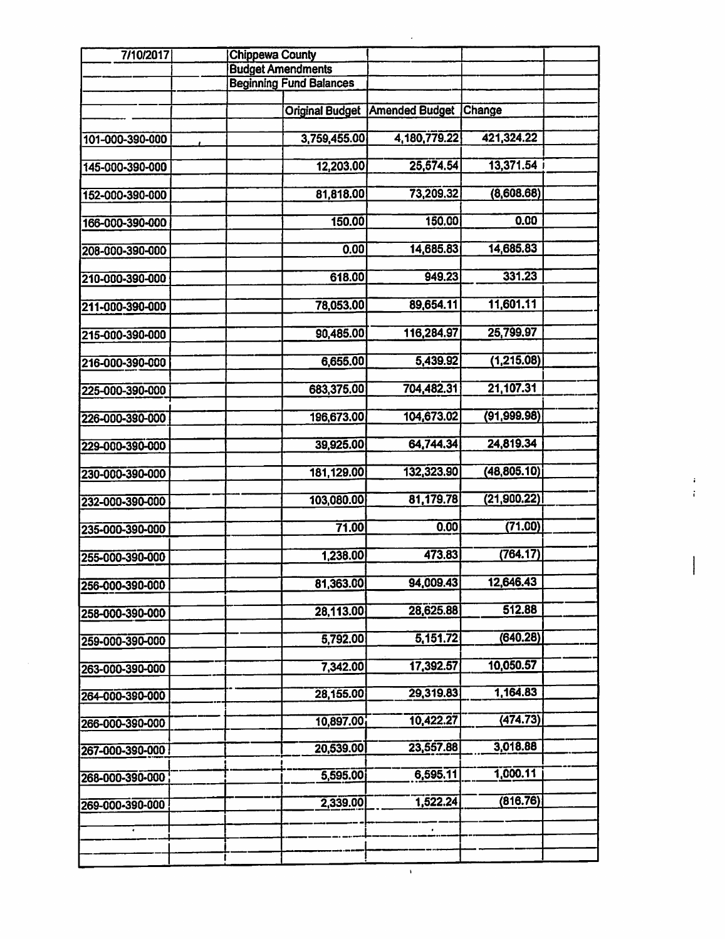| 7/10/2017<br><b>Chippewa County</b> |  |                          |                                |                                       |              |  |
|-------------------------------------|--|--------------------------|--------------------------------|---------------------------------------|--------------|--|
|                                     |  | <b>Budget Amendments</b> |                                |                                       |              |  |
|                                     |  |                          | <b>Beginning Fund Balances</b> |                                       |              |  |
|                                     |  |                          |                                |                                       |              |  |
|                                     |  |                          |                                | <b>Original Budget Amended Budget</b> | Change       |  |
| 101-000-390-000                     |  |                          | 3,759,455.00                   | 4,180,779.22                          | 421,324.22   |  |
|                                     |  |                          |                                |                                       |              |  |
| 145-000-390-000                     |  |                          | 12,203.00                      | 25,574.54                             | 13,371.54    |  |
|                                     |  |                          |                                |                                       |              |  |
| 152-000-390-000                     |  |                          | 81,818.00                      | 73,209.32                             | (8,608.68)   |  |
|                                     |  |                          |                                |                                       |              |  |
| 166-000-390-000                     |  |                          | 150.00                         | 150.00                                | 0.00         |  |
|                                     |  |                          |                                |                                       |              |  |
| 208-000-390-000                     |  |                          | 0.00                           | 14,685.83                             | 14,685.83    |  |
|                                     |  |                          | 618.00                         | 949.23                                | 331.23       |  |
| 210-000-390-000                     |  |                          |                                |                                       |              |  |
| 211-000-390-000                     |  |                          | 78,053.00                      | 89,654.11                             | 11,601.11    |  |
|                                     |  |                          |                                |                                       |              |  |
| 215-000-390-000                     |  |                          | 90,485.00                      | 116,284.97                            | 25,799.97    |  |
|                                     |  |                          |                                |                                       |              |  |
| 216-000-390-000                     |  |                          | 6,655.00                       | 5,439.92                              | (1,215.08)   |  |
|                                     |  |                          |                                |                                       |              |  |
| 225-000-390-000                     |  |                          | 683,375.00                     | 704,482.31                            | 21,107.31    |  |
|                                     |  |                          | 196,673.00                     | 104,673.02                            | (91, 999.98) |  |
| 226-000-390-000                     |  |                          |                                |                                       |              |  |
| 229-000-390-000                     |  |                          | 39,925.00                      | 64,744.34                             | 24,819.34    |  |
|                                     |  |                          |                                |                                       |              |  |
| 230-000-390-000                     |  |                          | 181,129.00                     | 132,323.90                            | (48, 805.10) |  |
|                                     |  |                          |                                |                                       |              |  |
| 232-000-390-000                     |  |                          | 103,080.00                     | 81,179.78                             | (21, 900.22) |  |
|                                     |  |                          |                                | 0.00                                  | (71.00)      |  |
| 235-000-390-000                     |  |                          | 71.00                          |                                       |              |  |
| 255-000-390-000                     |  |                          | 1,238.00                       | 473.83                                | (764.17)     |  |
|                                     |  |                          |                                |                                       |              |  |
| 256-000-390-000                     |  |                          | 81,363.00                      | 94,009.43                             | 12,646.43    |  |
|                                     |  |                          |                                |                                       |              |  |
| 258-000-390-000                     |  |                          | 28,113.00                      | 28,625.88                             | 512.88       |  |
|                                     |  |                          |                                |                                       |              |  |
| 259-000-390-000                     |  |                          | 5,792.00                       | 5,151.72                              | (640.28)     |  |
|                                     |  |                          | 7,342.00                       | 17,392.57                             | 10,050.57    |  |
| 263-000-390-000                     |  |                          |                                |                                       |              |  |
| 264-000-390-000                     |  |                          | 28,155.00                      | 29,319.83                             | 1,164.83     |  |
|                                     |  |                          |                                |                                       |              |  |
| 266-000-390-000                     |  |                          | 10,897.00                      | 10,422.27                             | (474.73)     |  |
|                                     |  |                          |                                |                                       |              |  |
| 267-000-390-000                     |  |                          | 20,539.00                      | 23,557.88                             | 3,018.88     |  |
|                                     |  |                          |                                | 6,595.11                              | 1,000.11     |  |
| 268-000-390-000                     |  |                          | 5,595.00                       |                                       |              |  |
| 269-000-390-000                     |  |                          | 2,339.00                       | 1,522.24                              | (816.76)     |  |
|                                     |  |                          |                                |                                       |              |  |
| ٠                                   |  |                          |                                |                                       |              |  |
|                                     |  |                          |                                |                                       |              |  |
|                                     |  |                          |                                |                                       |              |  |
|                                     |  |                          |                                | $\mathbf{I}$                          |              |  |

 $\pmb{i}$  $\mathbf{i}$ 

 $\mathsf{l}$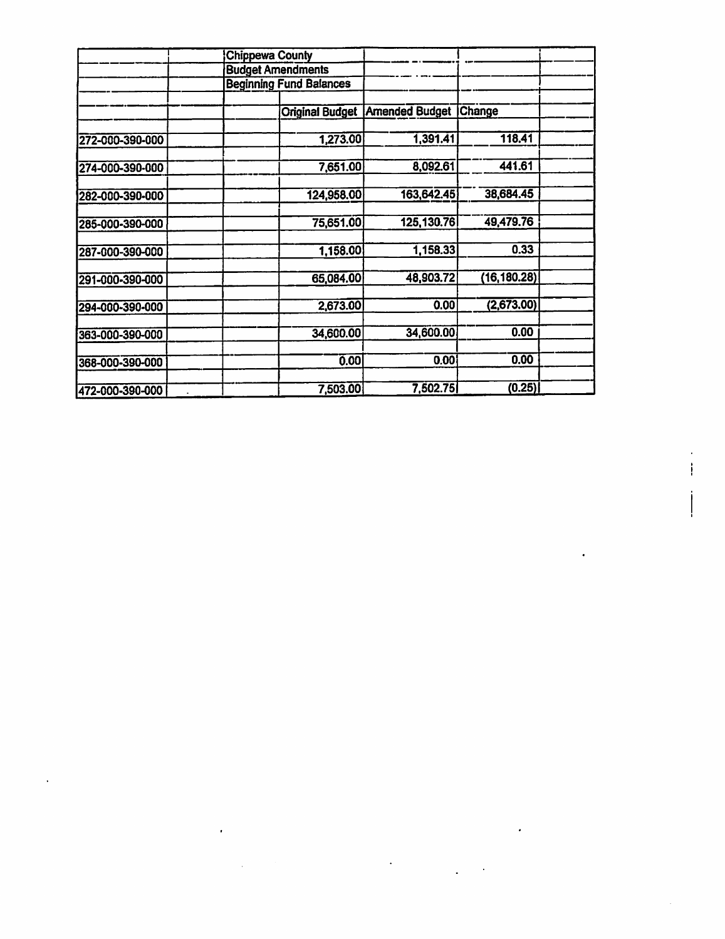|                 | Chippewa County                |                                         |              |  |
|-----------------|--------------------------------|-----------------------------------------|--------------|--|
|                 | <b>Budget Amendments</b>       |                                         |              |  |
|                 | <b>Beginning Fund Balances</b> |                                         |              |  |
|                 |                                |                                         |              |  |
|                 |                                | <b>Original Budget   Amended Budget</b> | Change       |  |
|                 |                                |                                         |              |  |
| 272-000-390-000 | 1,273.00                       | 1,391.41                                | 118.41       |  |
| 274-000-390-000 | 7,651.00                       | 8,092.61                                | 441.61       |  |
|                 |                                |                                         |              |  |
| 282-000-390-000 | 124,958.00                     | 163,642.45                              | 38,684.45    |  |
| 285-000-390-000 | 75,651.00                      | 125, 130.76                             | 49,479.76    |  |
|                 |                                |                                         |              |  |
| 287-000-390-000 | 1,158.00                       | 1,158.33                                | 0.33         |  |
| 291-000-390-000 | 65,084.00                      | 48,903.72                               | (16, 180.28) |  |
| 294-000-390-000 | 2,673.00                       | 0.00                                    | (2,673.00)   |  |
| 363-000-390-000 | 34,600.00                      | 34,600.00                               | 0.00         |  |
|                 |                                |                                         |              |  |
| 368-000-390-000 | 0.00                           | 0.00                                    | 0.00         |  |
| 472-000-390-000 | 7,503.00                       | 7,502.75                                | (0.25)       |  |

 $\mathcal{L}(\mathcal{A})$  and  $\mathcal{L}(\mathcal{A})$  .

 $\sim 10^{-11}$ 

 $\mathcal{L}(\mathcal{L}(\mathcal{L}))$  and  $\mathcal{L}(\mathcal{L}(\mathcal{L}))$  . The set of  $\mathcal{L}(\mathcal{L})$